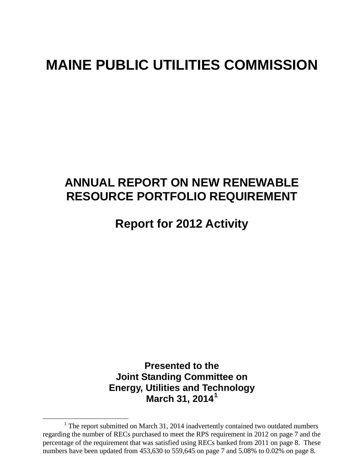# **MAINE PUBLIC UTILITIES COMMISSION**

# **ANNUAL REPORT ON NEW RENEWABLE RESOURCE PORTFOLIO REQUIREMENT**

# **Report for 2012 Activity**

**Presented to the Joint Standing Committee on Energy, Utilities and Technology March 31, 2014[1](#page-0-0)**

<span id="page-0-1"></span><span id="page-0-0"></span> $1$  The report submitted on March 31, 2014 inadvertently contained two outdated numbers regarding the number of RECs purchased to meet the RPS requirement in 2012 on page 7 and the percentage of the requirement that was satisfied using RECs banked from 2011 on page 8. These numbers have been updated from 453,630 to 559,645 on page 7 and 5.08% to 0.02% on page 8.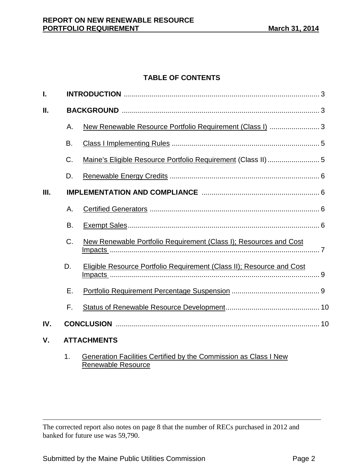# **TABLE OF CONTENTS**

| I.  |                    |                                                                       |  |  |  |
|-----|--------------------|-----------------------------------------------------------------------|--|--|--|
| Ш.  |                    |                                                                       |  |  |  |
|     | Α.                 | New Renewable Resource Portfolio Requirement (Class I)  3             |  |  |  |
|     | Β.                 |                                                                       |  |  |  |
|     | C.                 | Maine's Eligible Resource Portfolio Requirement (Class II)  5         |  |  |  |
|     | D.                 |                                                                       |  |  |  |
| Ш.  |                    |                                                                       |  |  |  |
|     | Α.                 |                                                                       |  |  |  |
|     | B.                 |                                                                       |  |  |  |
|     | C.                 | New Renewable Portfolio Requirement (Class I); Resources and Cost     |  |  |  |
|     | D.                 | Eligible Resource Portfolio Requirement (Class II); Resource and Cost |  |  |  |
|     | Е.                 |                                                                       |  |  |  |
|     | F.                 |                                                                       |  |  |  |
| IV. |                    |                                                                       |  |  |  |
| V.  | <b>ATTACHMENTS</b> |                                                                       |  |  |  |
|     | 1.                 | Generation Facilities Certified by the Commission as Class I New      |  |  |  |

Renewable Resource

 $\overline{a}$ The corrected report also notes on page 8 that the number of RECs purchased in 2012 and banked for future use was 59,790.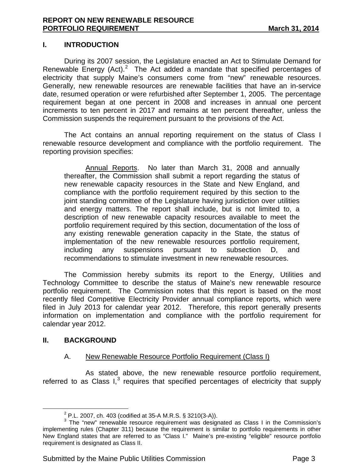#### **I. INTRODUCTION**

During its 2007 session, the Legislature enacted an Act to Stimulate Demand for Renewable Energy  $(Act)$ .<sup>[2](#page-0-1)</sup> The Act added a mandate that specified percentages of electricity that supply Maine's consumers come from "new" renewable resources. Generally, new renewable resources are renewable facilities that have an in-service date, resumed operation or were refurbished after September 1, 2005. The percentage requirement began at one percent in 2008 and increases in annual one percent increments to ten percent in 2017 and remains at ten percent thereafter, unless the Commission suspends the requirement pursuant to the provisions of the Act.

The Act contains an annual reporting requirement on the status of Class I renewable resource development and compliance with the portfolio requirement. The reporting provision specifies:

Annual Reports. No later than March 31, 2008 and annually thereafter, the Commission shall submit a report regarding the status of new renewable capacity resources in the State and New England, and compliance with the portfolio requirement required by this section to the joint standing committee of the Legislature having jurisdiction over utilities and energy matters. The report shall include, but is not limited to, a description of new renewable capacity resources available to meet the portfolio requirement required by this section, documentation of the loss of any existing renewable generation capacity in the State, the status of implementation of the new renewable resources portfolio requirement, including any suspensions pursuant to subsection D, and recommendations to stimulate investment in new renewable resources.

The Commission hereby submits its report to the Energy, Utilities and Technology Committee to describe the status of Maine's new renewable resource portfolio requirement. The Commission notes that this report is based on the most recently filed Competitive Electricity Provider annual compliance reports, which were filed in July 2013 for calendar year 2012. Therefore, this report generally presents information on implementation and compliance with the portfolio requirement for calendar year 2012.

### **II. BACKGROUND**

### A. New Renewable Resource Portfolio Requirement (Class I)

As stated above, the new renewable resource portfolio requirement, referred to as Class  $I<sub>3</sub>$  $I<sub>3</sub>$  $I<sub>3</sub>$  requires that specified percentages of electricity that supply

<span id="page-2-1"></span><span id="page-2-0"></span><sup>&</sup>lt;sup>2</sup> P.L. 2007, ch. 403 (codified at 35-A M.R.S. § 3210(3-A)).<br><sup>3</sup> The "new" renewable resource requirement was designated as Class I in the Commission's implementing rules (Chapter 311) because the requirement is similar to portfolio requirements in other New England states that are referred to as "Class I." Maine's pre-existing "eligible" resource portfolio requirement is designated as Class II.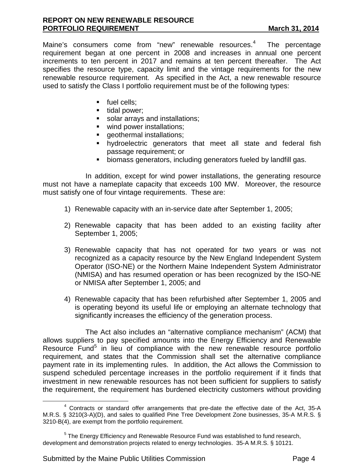Maine's consumers come from "new" renewable resources.<sup>[4](#page-2-1)</sup> The percentage requirement began at one percent in 2008 and increases in annual one percent increments to ten percent in 2017 and remains at ten percent thereafter. The Act specifies the resource type, capacity limit and the vintage requirements for the new renewable resource requirement. As specified in the Act, a new renewable resource used to satisfy the Class I portfolio requirement must be of the following types:

- fuel cells;
- $\blacksquare$  tidal power;
- solar arrays and installations;
- wind power installations;
- **qeothermal installations;**
- hydroelectric generators that meet all state and federal fish passage requirement; or
- biomass generators, including generators fueled by landfill gas.

In addition, except for wind power installations, the generating resource must not have a nameplate capacity that exceeds 100 MW. Moreover, the resource must satisfy one of four vintage requirements. These are:

- 1) Renewable capacity with an in-service date after September 1, 2005;
- 2) Renewable capacity that has been added to an existing facility after September 1, 2005;
- 3) Renewable capacity that has not operated for two years or was not recognized as a capacity resource by the New England Independent System Operator (ISO-NE) or the Northern Maine Independent System Administrator (NMISA) and has resumed operation or has been recognized by the ISO-NE or NMISA after September 1, 2005; and
- 4) Renewable capacity that has been refurbished after September 1, 2005 and is operating beyond its useful life or employing an alternate technology that significantly increases the efficiency of the generation process.

The Act also includes an "alternative compliance mechanism" (ACM) that allows suppliers to pay specified amounts into the Energy Efficiency and Renewable Resource Fund<sup>[5](#page-3-0)</sup> in lieu of compliance with the new renewable resource portfolio requirement, and states that the Commission shall set the alternative compliance payment rate in its implementing rules. In addition, the Act allows the Commission to suspend scheduled percentage increases in the portfolio requirement if it finds that investment in new renewable resources has not been sufficient for suppliers to satisfy the requirement, the requirement has burdened electricity customers without providing

<span id="page-3-1"></span><sup>&</sup>lt;sup>4</sup> Contracts or standard offer arrangements that pre-date the effective date of the Act, 35-A M.R.S. § 3210(3-A)(D), and sales to qualified Pine Tree Development Zone businesses, 35-A M.R.S. § 3210-B(4), are exempt from the portfolio requirement.

<span id="page-3-0"></span> $<sup>5</sup>$  The Energy Efficiency and Renewable Resource Fund was established to fund research,</sup> development and demonstration projects related to energy technologies. 35-A M.R.S. § 10121.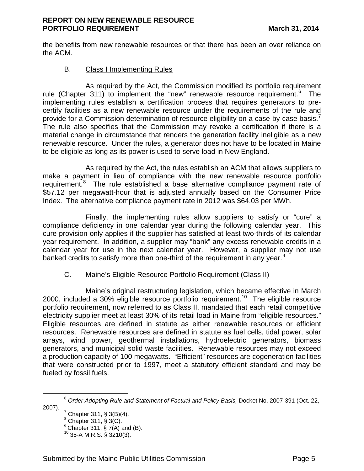the benefits from new renewable resources or that there has been an over reliance on the ACM.

# B. Class I Implementing Rules

As required by the Act, the Commission modified its portfolio requirement rule (Chapter 311) to implement the "new" renewable resource requirement.<sup>[6](#page-3-1)</sup> The implementing rules establish a certification process that requires generators to precertify facilities as a new renewable resource under the requirements of the rule and provide for a Commission determination of resource eligibility on a case-by-case basis.<sup>[7](#page-4-0)</sup> The rule also specifies that the Commission may revoke a certification if there is a material change in circumstance that renders the generation facility ineligible as a new renewable resource. Under the rules, a generator does not have to be located in Maine to be eligible as long as its power is used to serve load in New England.

As required by the Act, the rules establish an ACM that allows suppliers to make a payment in lieu of compliance with the new renewable resource portfolio requirement.<sup>[8](#page-4-1)</sup> The rule established a base alternative compliance payment rate of \$57.12 per megawatt-hour that is adjusted annually based on the Consumer Price Index. The alternative compliance payment rate in 2012 was \$64.03 per MWh.

Finally, the implementing rules allow suppliers to satisfy or "cure" a compliance deficiency in one calendar year during the following calendar year. This cure provision only applies if the supplier has satisfied at least two-thirds of its calendar year requirement. In addition, a supplier may "bank" any excess renewable credits in a calendar year for use in the next calendar year. However, a supplier may not use banked credits to satisfy more than one-third of the requirement in any year.<sup>[9](#page-4-2)</sup>

### C. Maine's Eligible Resource Portfolio Requirement (Class II)

Maine's original restructuring legislation, which became effective in March 2000, included a 30% eligible resource portfolio requirement.<sup>[10](#page-4-3)</sup> The eligible resource portfolio requirement, now referred to as Class II, mandated that each retail competitive electricity supplier meet at least 30% of its retail load in Maine from "eligible resources." Eligible resources are defined in statute as either renewable resources or efficient resources. Renewable resources are defined in statute as fuel cells, tidal power, solar arrays, wind power, geothermal installations, hydroelectric generators, biomass generators, and municipal solid waste facilities. Renewable resources may not exceed a production capacity of 100 megawatts. "Efficient" resources are cogeneration facilities that were constructed prior to 1997, meet a statutory efficient standard and may be fueled by fossil fuels.

<span id="page-4-4"></span><span id="page-4-3"></span><span id="page-4-2"></span><span id="page-4-1"></span><span id="page-4-0"></span><sup>6</sup> *Order Adopting Rule and Statement of Factual and Policy Basis,* Docket No. 2007-391 (Oct. 22,

 $^7$  Chapter 311, § 3(B)(4).

 $^8$  Chapter 311, § 3(C).

<sup>&</sup>lt;sup>9</sup> Chapter 311, § 7(A) and (B).<br><sup>10</sup> 35-A M.R.S. § 3210(3).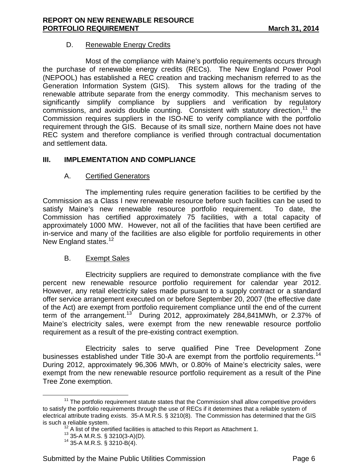# D. Renewable Energy Credits

Most of the compliance with Maine's portfolio requirements occurs through the purchase of renewable energy credits (RECs). The New England Power Pool (NEPOOL) has established a REC creation and tracking mechanism referred to as the Generation Information System (GIS). This system allows for the trading of the renewable attribute separate from the energy commodity. This mechanism serves to significantly simplify compliance by suppliers and verification by regulatory commissions, and avoids double counting. Consistent with statutory direction,<sup>[11](#page-4-4)</sup> the Commission requires suppliers in the ISO-NE to verify compliance with the portfolio requirement through the GIS. Because of its small size, northern Maine does not have REC system and therefore compliance is verified through contractual documentation and settlement data.

# **III. IMPLEMENTATION AND COMPLIANCE**

# A. Certified Generators

The implementing rules require generation facilities to be certified by the Commission as a Class I new renewable resource before such facilities can be used to satisfy Maine's new renewable resource portfolio requirement. To date, the Commission has certified approximately 75 facilities, with a total capacity of approximately 1000 MW. However, not all of the facilities that have been certified are in-service and many of the facilities are also eligible for portfolio requirements in other New England states.<sup>12</sup>

### B. Exempt Sales

Electricity suppliers are required to demonstrate compliance with the five percent new renewable resource portfolio requirement for calendar year 2012. However, any retail electricity sales made pursuant to a supply contract or a standard offer service arrangement executed on or before September 20, 2007 (the effective date of the Act) are exempt from portfolio requirement compliance until the end of the current term of the arrangement.[13](#page-5-1) During 2012, approximately 284,841MWh, or 2.37% of Maine's electricity sales, were exempt from the new renewable resource portfolio requirement as a result of the pre-existing contract exemption.

Electricity sales to serve qualified Pine Tree Development Zone businesses established under Title 30-A are exempt from the portfolio requirements.<sup>[14](#page-5-2)</sup> During 2012, approximately 96,306 MWh, or 0.80% of Maine's electricity sales, were exempt from the new renewable resource portfolio requirement as a result of the Pine Tree Zone exemption.

<span id="page-5-3"></span><span id="page-5-2"></span><span id="page-5-1"></span><span id="page-5-0"></span> $11$  The portfolio requirement statute states that the Commission shall allow competitive providers to satisfy the portfolio requirements through the use of RECs if it determines that a reliable system of electrical attribute trading exists. 35-A M.R.S. § 3210(8). The Commission has determined that the GIS is such a reliable system.<br><sup>12</sup> A list of the certified facilities is attached to this Report as Attachment 1.<br><sup>13</sup> 35-A M.R.S. § 3210(3-A)(D).<br><sup>14</sup> 35-A M.R.S. § 3210-B(4).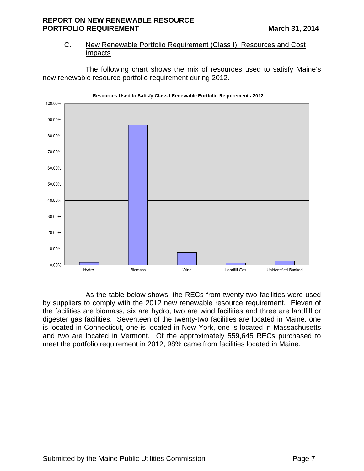# C. New Renewable Portfolio Requirement (Class I); Resources and Cost Impacts

The following chart shows the mix of resources used to satisfy Maine's new renewable resource portfolio requirement during 2012.



As the table below shows, the RECs from twenty-two facilities were used by suppliers to comply with the 2012 new renewable resource requirement. Eleven of the facilities are biomass, six are hydro, two are wind facilities and three are landfill or digester gas facilities. Seventeen of the twenty-two facilities are located in Maine, one is located in Connecticut, one is located in New York, one is located in Massachusetts and two are located in Vermont. Of the approximately 559,645 RECs purchased to meet the portfolio requirement in 2012, 98% came from facilities located in Maine.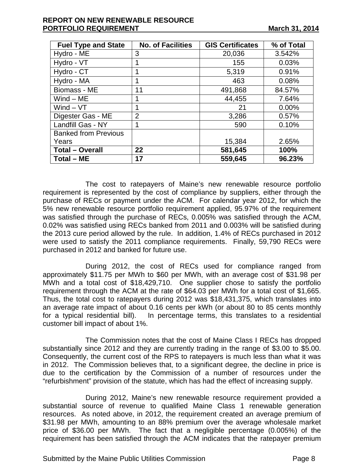### **REPORT ON NEW RENEWABLE RESOURCE PORTFOLIO REQUIREMENT March 31, 2014**

| <b>Fuel Type and State</b>  | <b>No. of Facilities</b> | <b>GIS Certificates</b> | % of Total |
|-----------------------------|--------------------------|-------------------------|------------|
| Hydro - ME                  | 3                        | 20,036                  | 3.542%     |
| Hydro - VT                  |                          | 155                     | 0.03%      |
| Hydro - CT                  | 1                        | 5,319                   | 0.91%      |
| Hydro - MA                  | 1                        | 463                     | 0.08%      |
| Biomass - ME                | 11                       | 491,868                 | 84.57%     |
| $Wind - ME$                 | 1                        | 44,455                  | 7.64%      |
| $Wind - VT$                 | 1                        | 21                      | 0.00%      |
| Digester Gas - ME           | $\overline{2}$           | 3,286                   | 0.57%      |
| Landfill Gas - NY           | 1                        | 590                     | 0.10%      |
| <b>Banked from Previous</b> |                          |                         |            |
| Years                       |                          | 15,384                  | 2.65%      |
| <b>Total - Overall</b>      | 22                       | 581,645                 | 100%       |
| Total – ME                  | 17                       | 559,645                 | 96.23%     |

The cost to ratepayers of Maine's new renewable resource portfolio requirement is represented by the cost of compliance by suppliers, either through the purchase of RECs or payment under the ACM. For calendar year 2012, for which the 5% new renewable resource portfolio requirement applied, 95.97% of the requirement was satisfied through the purchase of RECs, 0.005% was satisfied through the ACM, 0.02% was satisfied using RECs banked from 2011 and 0.003% will be satisfied during the 2013 cure period allowed by the rule. In addition, 1.4% of RECs purchased in 2012 were used to satisfy the 2011 compliance requirements. Finally, 59,790 RECs were purchased in 2012 and banked for future use.

During 2012, the cost of RECs used for compliance ranged from approximately \$11.75 per MWh to \$60 per MWh, with an average cost of \$31.98 per MWh and a total cost of \$18,429,710. One supplier chose to satisfy the portfolio requirement through the ACM at the rate of \$64.03 per MWh for a total cost of \$1,665. Thus, the total cost to ratepayers during 2012 was \$18,431,375, which translates into an average rate impact of about 0.16 cents per kWh (or about 80 to 85 cents monthly for a typical residential bill). In percentage terms, this translates to a residential customer bill impact of about 1%.

The Commission notes that the cost of Maine Class I RECs has dropped substantially since 2012 and they are currently trading in the range of \$3.00 to \$5.00. Consequently, the current cost of the RPS to ratepayers is much less than what it was in 2012. The Commission believes that, to a significant degree, the decline in price is due to the certification by the Commission of a number of resources under the "refurbishment" provision of the statute, which has had the effect of increasing supply.

During 2012, Maine's new renewable resource requirement provided a substantial source of revenue to qualified Maine Class 1 renewable generation resources. As noted above, in 2012, the requirement created an average premium of \$31.98 per MWh, amounting to an 88% premium over the average wholesale market price of \$36.00 per MWh. The fact that a negligible percentage (0.005%) of the requirement has been satisfied through the ACM indicates that the ratepayer premium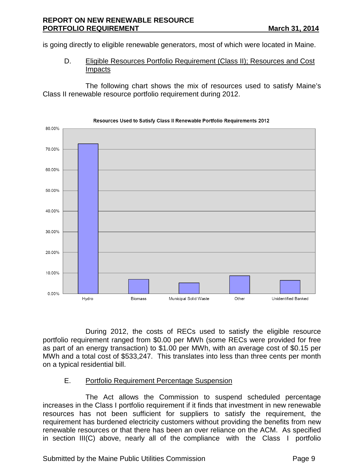is going directly to eligible renewable generators, most of which were located in Maine.

D. Eligible Resources Portfolio Requirement (Class II); Resources and Cost Impacts

The following chart shows the mix of resources used to satisfy Maine's Class II renewable resource portfolio requirement during 2012.



#### Resources Used to Satisfy Class II Renewable Portfolio Requirements 2012

During 2012, the costs of RECs used to satisfy the eligible resource portfolio requirement ranged from \$0.00 per MWh (some RECs were provided for free as part of an energy transaction) to \$1.00 per MWh, with an average cost of \$0.15 per MWh and a total cost of \$533,247. This translates into less than three cents per month on a typical residential bill.

# E. Portfolio Requirement Percentage Suspension

The Act allows the Commission to suspend scheduled percentage increases in the Class I portfolio requirement if it finds that investment in new renewable resources has not been sufficient for suppliers to satisfy the requirement, the requirement has burdened electricity customers without providing the benefits from new renewable resources or that there has been an over reliance on the ACM. As specified in section III(C) above, nearly all of the compliance with the Class I portfolio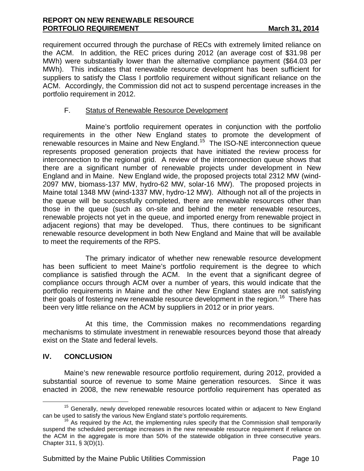#### **REPORT ON NEW RENEWABLE RESOURCE PORTFOLIO REQUIREMENT** March 31, 2014

requirement occurred through the purchase of RECs with extremely limited reliance on the ACM. In addition, the REC prices during 2012 (an average cost of \$31.98 per MWh) were substantially lower than the alternative compliance payment (\$64.03 per MWh). This indicates that renewable resource development has been sufficient for suppliers to satisfy the Class I portfolio requirement without significant reliance on the ACM. Accordingly, the Commission did not act to suspend percentage increases in the portfolio requirement in 2012.

# F. Status of Renewable Resource Development

Maine's portfolio requirement operates in conjunction with the portfolio requirements in the other New England states to promote the development of renewable resources in Maine and New England.<sup>15</sup> The ISO-NE interconnection queue represents proposed generation projects that have initiated the review process for interconnection to the regional grid. A review of the interconnection queue shows that there are a significant number of renewable projects under development in New England and in Maine. New England wide, the proposed projects total 2312 MW (wind-2097 MW, biomass-137 MW, hydro-62 MW, solar-16 MW). The proposed projects in Maine total 1348 MW (wind-1337 MW, hydro-12 MW). Although not all of the projects in the queue will be successfully completed, there are renewable resources other than those in the queue (such as on-site and behind the meter renewable resources, renewable projects not yet in the queue, and imported energy from renewable project in adjacent regions) that may be developed. Thus, there continues to be significant renewable resource development in both New England and Maine that will be available to meet the requirements of the RPS.

The primary indicator of whether new renewable resource development has been sufficient to meet Maine's portfolio requirement is the degree to which compliance is satisfied through the ACM. In the event that a significant degree of compliance occurs through ACM over a number of years, this would indicate that the portfolio requirements in Maine and the other New England states are not satisfying their goals of fostering new renewable resource development in the region.<sup>[16](#page-9-0)</sup> There has been very little reliance on the ACM by suppliers in 2012 or in prior years.

At this time, the Commission makes no recommendations regarding mechanisms to stimulate investment in renewable resources beyond those that already exist on the State and federal levels.

# **IV. CONCLUSION**

Maine's new renewable resource portfolio requirement, during 2012, provided a substantial source of revenue to some Maine generation resources. Since it was enacted in 2008, the new renewable resource portfolio requirement has operated as

<sup>&</sup>lt;sup>15</sup> Generally, newly developed renewable resources located within or adjacent to New England can be used to satisfy the various New England state's portfolio requirements.

<span id="page-9-0"></span> $16$  As required by the Act, the implementing rules specify that the Commission shall temporarily suspend the scheduled percentage increases in the new renewable resource requirement if reliance on the ACM in the aggregate is more than 50% of the statewide obligation in three consecutive years. Chapter 311, § 3(D)(1).